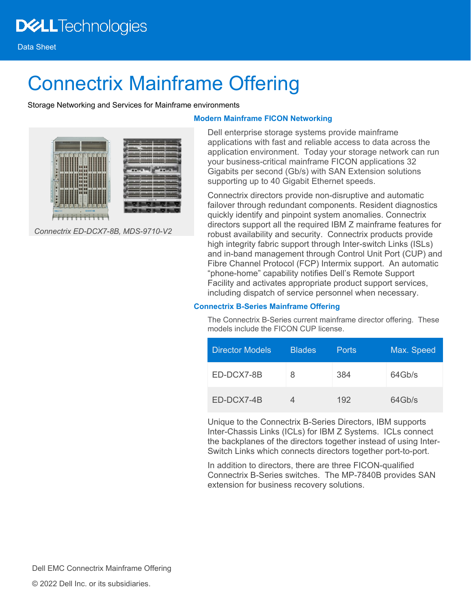# Connectrix Mainframe Offering

Storage Networking and Services for Mainframe environments



*Connectrix ED-DCX7-8B, MDS-9710-V2*

# **Modern Mainframe FICON Networking**

Dell enterprise storage systems provide mainframe applications with fast and reliable access to data across the application environment. Today your storage network can run your business-critical mainframe FICON applications 32 Gigabits per second (Gb/s) with SAN Extension solutions supporting up to 40 Gigabit Ethernet speeds.

Connectrix directors provide non-disruptive and automatic failover through redundant components. Resident diagnostics quickly identify and pinpoint system anomalies. Connectrix directors support all the required IBM Z mainframe features for robust availability and security. Connectrix products provide high integrity fabric support through Inter-switch Links (ISLs) and in-band management through Control Unit Port (CUP) and Fibre Channel Protocol (FCP) Intermix support. An automatic "phone-home" capability notifies Dell's Remote Support Facility and activates appropriate product support services, including dispatch of service personnel when necessary.

# **Connectrix B-Series Mainframe Offering**

The Connectrix B-Series current mainframe director offering. These models include the FICON CUP license.

| Director Models | <b>Blades</b> | <b>Ports</b> | Max. Speed |
|-----------------|---------------|--------------|------------|
| ED-DCX7-8B      | 8             | 384          | 64Gb/s     |
| ED-DCX7-4B      |               | 192          | 64Gb/s     |

Unique to the Connectrix B-Series Directors, IBM supports Inter-Chassis Links (ICLs) for IBM Z Systems. ICLs connect the backplanes of the directors together instead of using Inter-Switch Links which connects directors together port-to-port.

In addition to directors, there are three FICON-qualified Connectrix B-Series switches. The MP-7840B provides SAN extension for business recovery solutions.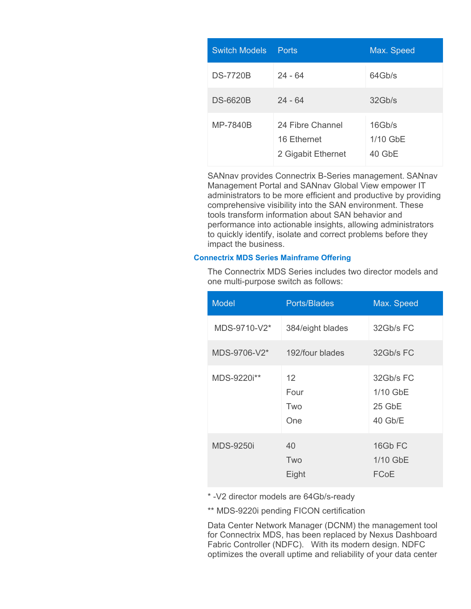| <b>Switch Models</b> | Ports                                                 | Max. Speed                     |
|----------------------|-------------------------------------------------------|--------------------------------|
| <b>DS-7720B</b>      | $24 - 64$                                             | 64Gb/s                         |
| <b>DS-6620B</b>      | $24 - 64$                                             | 32Gb/s                         |
| MP-7840B             | 24 Fibre Channel<br>16 Ethernet<br>2 Gigabit Ethernet | 16Gb/s<br>1/10 GbE<br>$40$ GbE |

SANnav provides Connectrix B-Series management. SANnav Management Portal and SANnav Global View empower IT administrators to be more efficient and productive by providing comprehensive visibility into the SAN environment. These tools transform information about SAN behavior and performance into actionable insights, allowing administrators to quickly identify, isolate and correct problems before they impact the business.

### **Connectrix MDS Series Mainframe Offering**

The Connectrix MDS Series includes two director models and one multi-purpose switch as follows:

| <b>Model</b>     | Ports/Blades                            | Max. Speed                                 |
|------------------|-----------------------------------------|--------------------------------------------|
| MDS-9710-V2*     | 384/eight blades                        | 32Gb/s FC                                  |
| MDS-9706-V2*     | 192/four blades                         | 32Gb/s FC                                  |
| MDS-9220i**      | $12 \overline{ }$<br>Four<br>Two<br>One | 32Gb/s FC<br>1/10 GbE<br>25 GbE<br>40 Gb/E |
| <b>MDS-9250i</b> | 40<br>Two<br>Eight                      | 16Gb FC<br>1/10 GbE<br>FCoE                |

\* -V2 director models are 64Gb/s-ready

\*\* MDS-9220i pending FICON certification

Data Center Network Manager (DCNM) the management tool for Connectrix MDS, has been replaced by Nexus Dashboard Fabric Controller (NDFC). With its modern design. NDFC optimizes the overall uptime and reliability of your data center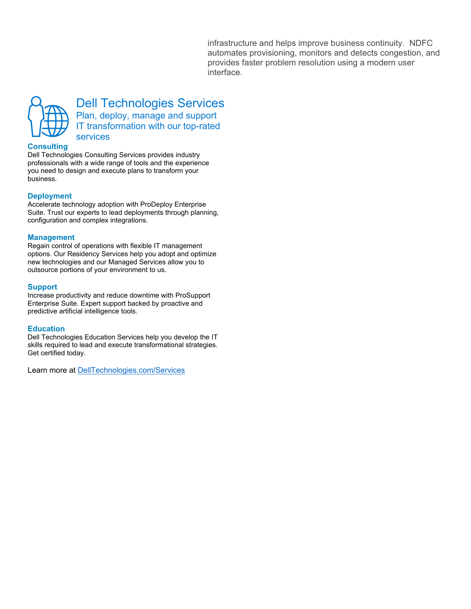infrastructure and helps improve business continuity. NDFC automates provisioning, monitors and detects congestion, and provides faster problem resolution using a modern user interface.



Dell Technologies Services Plan, deploy, manage and support IT transformation with our top-rated services

#### **Consulting**

Dell Technologies Consulting Services provides industry professionals with a wide range of tools and the experience you need to design and execute plans to transform your business.

#### **Deployment**

Accelerate technology adoption with ProDeploy Enterprise Suite. Trust our experts to lead deployments through planning, configuration and complex integrations.

#### **Management**

Regain control of operations with flexible IT management options. Our Residency Services help you adopt and optimize new technologies and our Managed Services allow you to outsource portions of your environment to us.

#### **Support**

Increase productivity and reduce downtime with ProSupport Enterprise Suite. Expert support backed by proactive and predictive artificial intelligence tools.

#### **Education**

Dell Technologies Education Services help you develop the IT skills required to lead and execute transformational strategies. Get certified today.

Learn more at [DellTechnologies.com/Services](http://www.delltechnologies.com/Services)